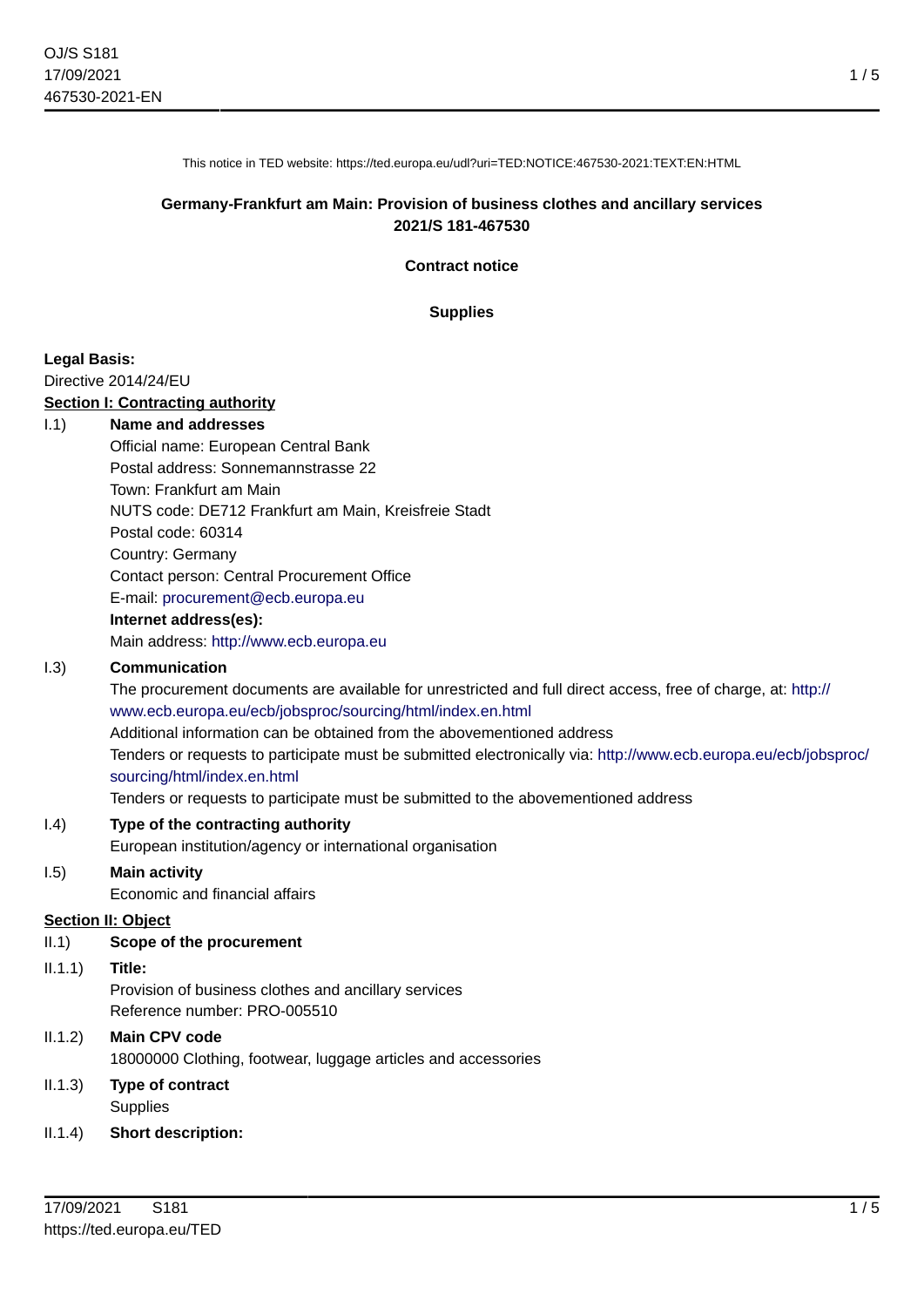1 / 5

This notice in TED website: https://ted.europa.eu/udl?uri=TED:NOTICE:467530-2021:TEXT:EN:HTML

## **Germany-Frankfurt am Main: Provision of business clothes and ancillary services 2021/S 181-467530**

**Contract notice**

**Supplies**

## **Legal Basis:**

Directive 2014/24/EU

#### **Section I: Contracting authority**

#### I.1) **Name and addresses**

Official name: European Central Bank Postal address: Sonnemannstrasse 22 Town: Frankfurt am Main NUTS code: DE712 Frankfurt am Main, Kreisfreie Stadt Postal code: 60314 Country: Germany Contact person: Central Procurement Office E-mail: [procurement@ecb.europa.eu](mailto:procurement@ecb.europa.eu) **Internet address(es):**

## Main address:<http://www.ecb.europa.eu>

#### I.3) **Communication**

The procurement documents are available for unrestricted and full direct access, free of charge, at: [http://](http://www.ecb.europa.eu/ecb/jobsproc/sourcing/html/index.en.html) [www.ecb.europa.eu/ecb/jobsproc/sourcing/html/index.en.html](http://www.ecb.europa.eu/ecb/jobsproc/sourcing/html/index.en.html)

Additional information can be obtained from the abovementioned address

Tenders or requests to participate must be submitted electronically via: [http://www.ecb.europa.eu/ecb/jobsproc/](http://www.ecb.europa.eu/ecb/jobsproc/sourcing/html/index.en.html) [sourcing/html/index.en.html](http://www.ecb.europa.eu/ecb/jobsproc/sourcing/html/index.en.html)

Tenders or requests to participate must be submitted to the abovementioned address

#### I.4) **Type of the contracting authority**

European institution/agency or international organisation

## I.5) **Main activity**

Economic and financial affairs

#### **Section II: Object**

## II.1) **Scope of the procurement**

#### II.1.1) **Title:**

Provision of business clothes and ancillary services Reference number: PRO-005510

## II.1.2) **Main CPV code**

18000000 Clothing, footwear, luggage articles and accessories

## II.1.3) **Type of contract Supplies**

#### II.1.4) **Short description:**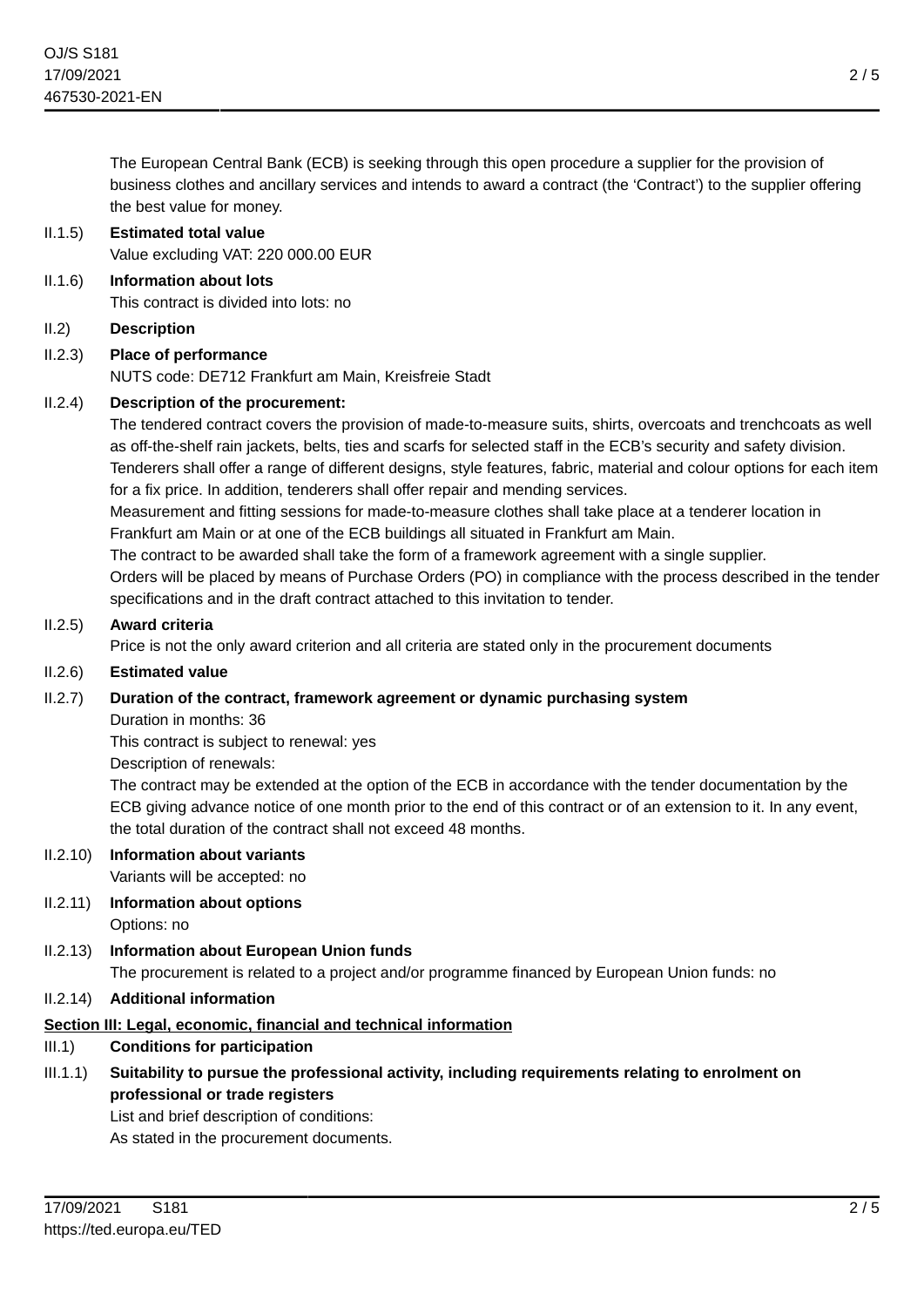The European Central Bank (ECB) is seeking through this open procedure a supplier for the provision of business clothes and ancillary services and intends to award a contract (the 'Contract') to the supplier offering the best value for money.

## II.1.5) **Estimated total value**

Value excluding VAT: 220 000.00 EUR

- II.1.6) **Information about lots** This contract is divided into lots: no
- II.2) **Description**

# II.2.3) **Place of performance**

NUTS code: DE712 Frankfurt am Main, Kreisfreie Stadt

## II.2.4) **Description of the procurement:**

The tendered contract covers the provision of made-to-measure suits, shirts, overcoats and trenchcoats as well as off-the-shelf rain jackets, belts, ties and scarfs for selected staff in the ECB's security and safety division. Tenderers shall offer a range of different designs, style features, fabric, material and colour options for each item for a fix price. In addition, tenderers shall offer repair and mending services.

Measurement and fitting sessions for made-to-measure clothes shall take place at a tenderer location in Frankfurt am Main or at one of the ECB buildings all situated in Frankfurt am Main.

The contract to be awarded shall take the form of a framework agreement with a single supplier.

Orders will be placed by means of Purchase Orders (PO) in compliance with the process described in the tender specifications and in the draft contract attached to this invitation to tender.

## II.2.5) **Award criteria**

Price is not the only award criterion and all criteria are stated only in the procurement documents

## II.2.6) **Estimated value**

## II.2.7) **Duration of the contract, framework agreement or dynamic purchasing system**

Duration in months: 36

This contract is subject to renewal: yes

Description of renewals:

The contract may be extended at the option of the ECB in accordance with the tender documentation by the ECB giving advance notice of one month prior to the end of this contract or of an extension to it. In any event, the total duration of the contract shall not exceed 48 months.

# II.2.10) **Information about variants**

Variants will be accepted: no

- II.2.11) **Information about options** Options: no
- II.2.13) **Information about European Union funds**

The procurement is related to a project and/or programme financed by European Union funds: no

II.2.14) **Additional information**

# **Section III: Legal, economic, financial and technical information**

- III.1) **Conditions for participation**
- III.1.1) **Suitability to pursue the professional activity, including requirements relating to enrolment on professional or trade registers**

List and brief description of conditions: As stated in the procurement documents.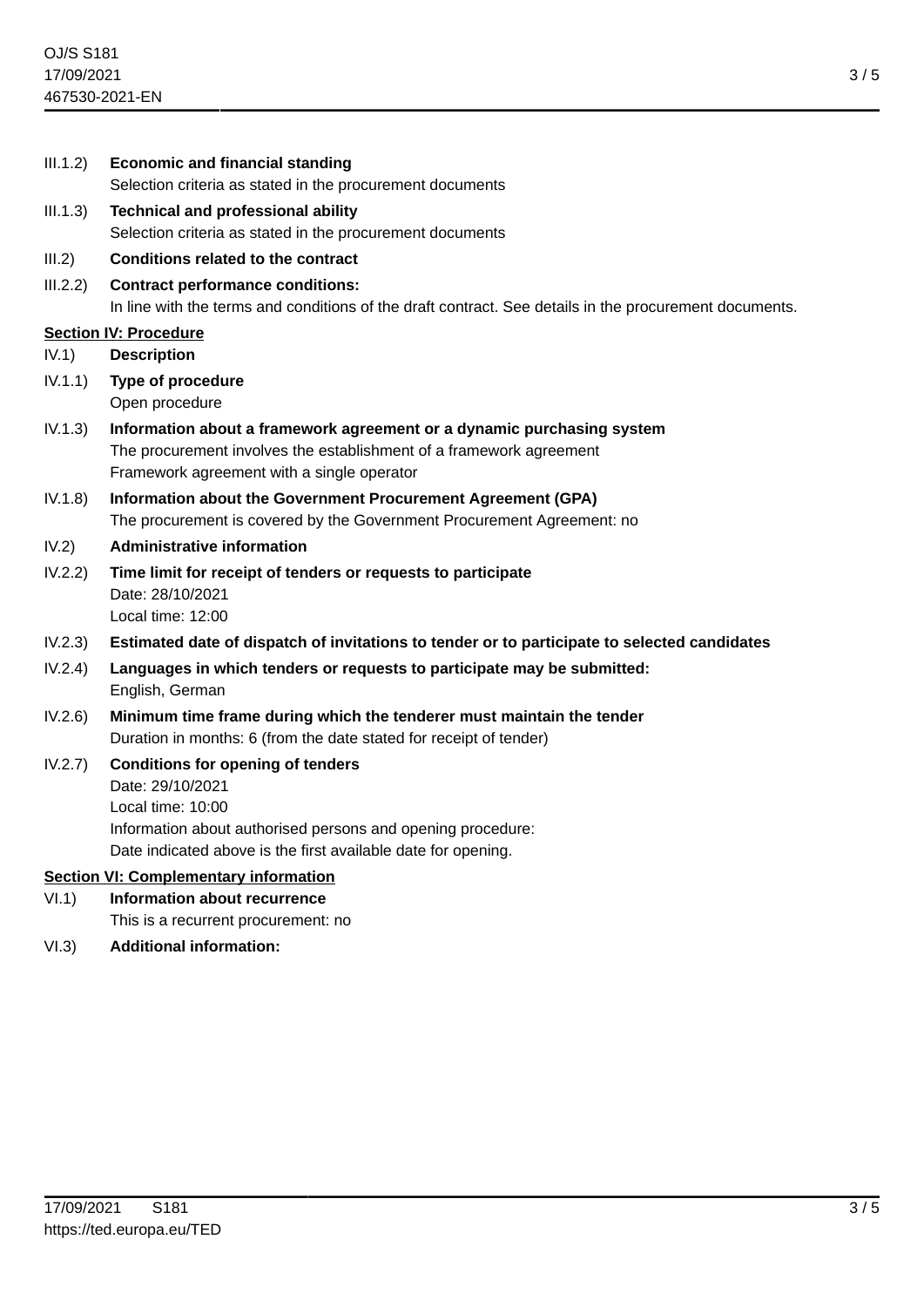| III.1.2) | <b>Economic and financial standing</b>                                                                                                            |
|----------|---------------------------------------------------------------------------------------------------------------------------------------------------|
|          | Selection criteria as stated in the procurement documents                                                                                         |
| III.1.3) | <b>Technical and professional ability</b>                                                                                                         |
|          | Selection criteria as stated in the procurement documents                                                                                         |
| III.2)   | <b>Conditions related to the contract</b>                                                                                                         |
| III.2.2) | <b>Contract performance conditions:</b><br>In line with the terms and conditions of the draft contract. See details in the procurement documents. |
|          | <b>Section IV: Procedure</b>                                                                                                                      |
| IV.1)    | <b>Description</b>                                                                                                                                |
| IV.1.1)  | <b>Type of procedure</b>                                                                                                                          |
|          | Open procedure                                                                                                                                    |
| IV.1.3)  | Information about a framework agreement or a dynamic purchasing system                                                                            |
|          | The procurement involves the establishment of a framework agreement<br>Framework agreement with a single operator                                 |
| IV.1.8)  | Information about the Government Procurement Agreement (GPA)                                                                                      |
|          | The procurement is covered by the Government Procurement Agreement: no                                                                            |
| IV.2)    | <b>Administrative information</b>                                                                                                                 |
| IV.2.2)  | Time limit for receipt of tenders or requests to participate                                                                                      |
|          | Date: 28/10/2021                                                                                                                                  |
|          | Local time: 12:00                                                                                                                                 |
| IV.2.3)  | Estimated date of dispatch of invitations to tender or to participate to selected candidates                                                      |
| IV.2.4)  | Languages in which tenders or requests to participate may be submitted:<br>English, German                                                        |
| IV.2.6)  | Minimum time frame during which the tenderer must maintain the tender<br>Duration in months: 6 (from the date stated for receipt of tender)       |
| IV.2.7)  | <b>Conditions for opening of tenders</b>                                                                                                          |
|          | Date: 29/10/2021                                                                                                                                  |
|          | Local time: 10:00                                                                                                                                 |
|          | Information about authorised persons and opening procedure:                                                                                       |
|          | Date indicated above is the first available date for opening.                                                                                     |
| VI.1)    | <b>Section VI: Complementary information</b><br><b>Information about recurrence</b>                                                               |
|          | This is a recurrent procurement: no                                                                                                               |
| VI.3)    | <b>Additional information:</b>                                                                                                                    |
|          |                                                                                                                                                   |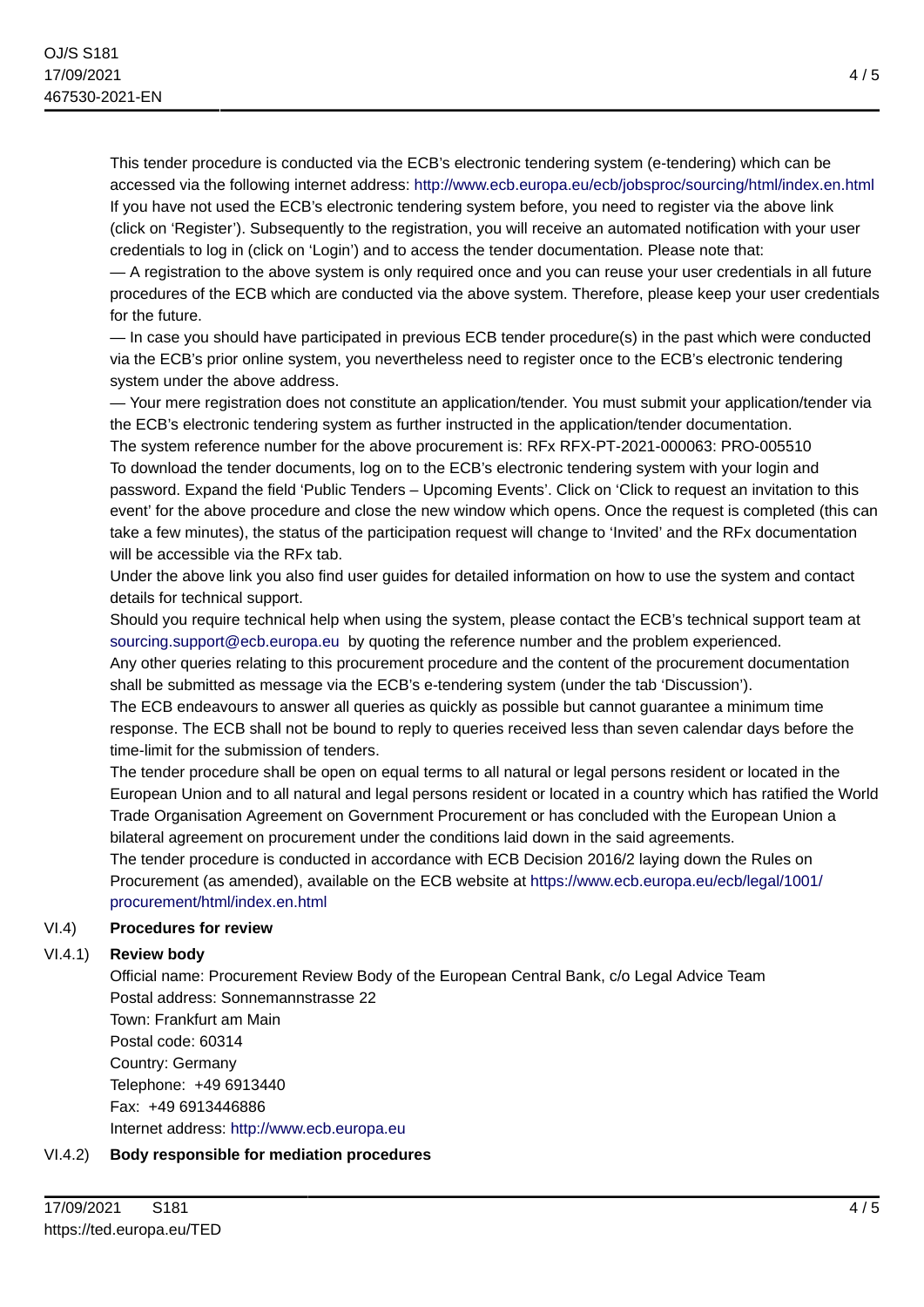This tender procedure is conducted via the ECB's electronic tendering system (e-tendering) which can be accessed via the following internet address: <http://www.ecb.europa.eu/ecb/jobsproc/sourcing/html/index.en.html> If you have not used the ECB's electronic tendering system before, you need to register via the above link (click on 'Register'). Subsequently to the registration, you will receive an automated notification with your user credentials to log in (click on 'Login') and to access the tender documentation. Please note that:

— A registration to the above system is only required once and you can reuse your user credentials in all future procedures of the ECB which are conducted via the above system. Therefore, please keep your user credentials for the future.

— In case you should have participated in previous ECB tender procedure(s) in the past which were conducted via the ECB's prior online system, you nevertheless need to register once to the ECB's electronic tendering system under the above address.

— Your mere registration does not constitute an application/tender. You must submit your application/tender via the ECB's electronic tendering system as further instructed in the application/tender documentation.

The system reference number for the above procurement is: RFx RFX-PT-2021-000063: PRO-005510 To download the tender documents, log on to the ECB's electronic tendering system with your login and password. Expand the field 'Public Tenders – Upcoming Events'. Click on 'Click to request an invitation to this event' for the above procedure and close the new window which opens. Once the request is completed (this can take a few minutes), the status of the participation request will change to 'Invited' and the RFx documentation will be accessible via the RFx tab.

Under the above link you also find user guides for detailed information on how to use the system and contact details for technical support.

Should you require technical help when using the system, please contact the ECB's technical support team at [sourcing.support@ecb.europa.eu](mailto:sourcing.support@ecb.europa.eu) by quoting the reference number and the problem experienced.

Any other queries relating to this procurement procedure and the content of the procurement documentation shall be submitted as message via the ECB's e-tendering system (under the tab 'Discussion').

The ECB endeavours to answer all queries as quickly as possible but cannot guarantee a minimum time response. The ECB shall not be bound to reply to queries received less than seven calendar days before the time-limit for the submission of tenders.

The tender procedure shall be open on equal terms to all natural or legal persons resident or located in the European Union and to all natural and legal persons resident or located in a country which has ratified the World Trade Organisation Agreement on Government Procurement or has concluded with the European Union a bilateral agreement on procurement under the conditions laid down in the said agreements.

The tender procedure is conducted in accordance with ECB Decision 2016/2 laying down the Rules on Procurement (as amended), available on the ECB website at [https://www.ecb.europa.eu/ecb/legal/1001/](https://www.ecb.europa.eu/ecb/legal/1001/procurement/html/index.en.html) [procurement/html/index.en.html](https://www.ecb.europa.eu/ecb/legal/1001/procurement/html/index.en.html)

# VI.4) **Procedures for review**

## VI.4.1) **Review body**

Official name: Procurement Review Body of the European Central Bank, c/o Legal Advice Team Postal address: Sonnemannstrasse 22 Town: Frankfurt am Main

Postal code: 60314 Country: Germany Telephone: +49 6913440 Fax: +49 6913446886 Internet address: <http://www.ecb.europa.eu>

# VI.4.2) **Body responsible for mediation procedures**